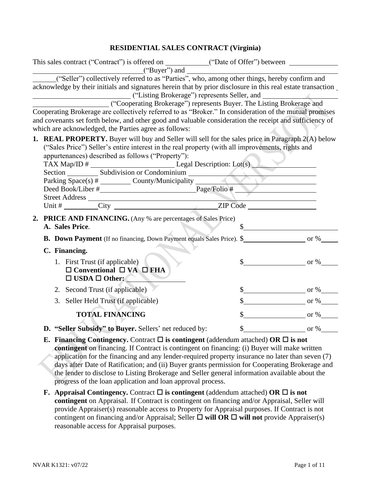# **RESIDENTIAL SALES CONTRACT (Virginia)**

| This sales contract ("Contract") is offered on ____________("Date of Offer") between _______________<br>$("Buyer")$ and $\qquad \qquad$                                                                                                                                                                                                                                                                                                                                                                                                                      |   |                                                      |
|--------------------------------------------------------------------------------------------------------------------------------------------------------------------------------------------------------------------------------------------------------------------------------------------------------------------------------------------------------------------------------------------------------------------------------------------------------------------------------------------------------------------------------------------------------------|---|------------------------------------------------------|
| ("Seller") collectively referred to as "Parties", who, among other things, hereby confirm and<br>acknowledge by their initials and signatures herein that by prior disclosure in this real estate transaction<br>("Listing Brokerage") represents Seller, and<br>("Cooperating Brokerage") represents Buyer. The Listing Brokerage and<br>Cooperating Brokerage are collectively referred to as "Broker." In consideration of the mutual promises<br>and covenants set forth below, and other good and valuable consideration the receipt and sufficiency of |   |                                                      |
| which are acknowledged, the Parties agree as follows:                                                                                                                                                                                                                                                                                                                                                                                                                                                                                                        |   |                                                      |
| 1. REAL PROPERTY. Buyer will buy and Seller will sell for the sales price in Paragraph 2(A) below<br>("Sales Price") Seller's entire interest in the real property (with all improvements, rights and<br>appurtenances) described as follows ("Property"):                                                                                                                                                                                                                                                                                                   |   | <u> 1989 - Johann Stoff, Amerikaansk politiker (</u> |
| <b>2. PRICE AND FINANCING.</b> (Any % are percentages of Sales Price)<br>A. Sales Price.                                                                                                                                                                                                                                                                                                                                                                                                                                                                     |   |                                                      |
|                                                                                                                                                                                                                                                                                                                                                                                                                                                                                                                                                              |   |                                                      |
| C. Financing.                                                                                                                                                                                                                                                                                                                                                                                                                                                                                                                                                |   |                                                      |
| 1. First Trust (if applicable)<br>$\Box$ Conventional $\Box$ VA $\Box$ FHA<br>$\square$ USDA $\square$ Other:                                                                                                                                                                                                                                                                                                                                                                                                                                                |   | $\frac{\text{S}}{\text{S}}$ or %                     |
| 2. Second Trust (if applicable)                                                                                                                                                                                                                                                                                                                                                                                                                                                                                                                              |   | $\frac{\text{S}}{\text{S}}$ or %                     |
| 3. Seller Held Trust (if applicable)                                                                                                                                                                                                                                                                                                                                                                                                                                                                                                                         |   | $\frac{\text{S}}{\text{S}}$ or %                     |
| <b>TOTAL FINANCING</b>                                                                                                                                                                                                                                                                                                                                                                                                                                                                                                                                       |   | $\frac{\text{S}}{\text{S}}$ or %                     |
| D. "Seller Subsidy" to Buyer. Sellers' net reduced by:                                                                                                                                                                                                                                                                                                                                                                                                                                                                                                       | ን | or $\%$                                              |
| E. Financing Contingency. Contract $\square$ is contingent (addendum attached) OR $\square$ is not<br>contingent on financing. If Contract is contingent on financing: (i) Buyer will make written<br>application for the financing and any lender-required property insurance no later than seven (7)<br>days after Date of Ratification; and (ii) Buyer grants permission for Cooperating Brokerage and<br>the lender to disclose to Listing Brokerage and Seller general information available about the                                                  |   |                                                      |

progress of the loan application and loan approval process. **F.** Appraisal Contingency. Contract  $\Box$  is contingent (addendum attached) OR  $\Box$  is not **contingent** on Appraisal. If Contract is contingent on financing and/or Appraisal, Seller will provide Appraiser(s) reasonable access to Property for Appraisal purposes. If Contract is not contingent on financing and/or Appraisal; Seller  $\Box$  will OR  $\Box$  will not provide Appraiser(s) reasonable access for Appraisal purposes.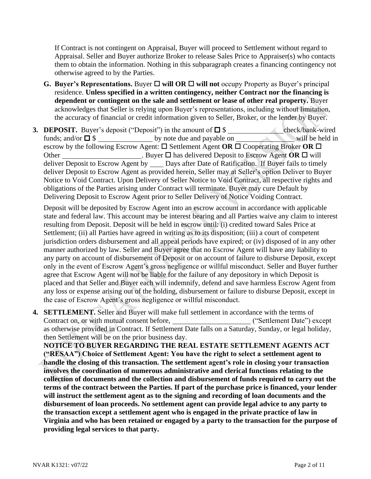If Contract is not contingent on Appraisal, Buyer will proceed to Settlement without regard to Appraisal. Seller and Buyer authorize Broker to release Sales Price to Appraiser(s) who contacts them to obtain the information. Nothing in this subparagraph creates a financing contingency not otherwise agreed to by the Parties.

- **G.** Buyer's Representations. Buyer  $\Box$  will OR  $\Box$  will not occupy Property as Buyer's principal residence. **Unless specified in a written contingency, neither Contract nor the financing is dependent or contingent on the sale and settlement or lease of other real property.** Buyer acknowledges that Seller is relying upon Buyer's representations, including without limitation, the accuracy of financial or credit information given to Seller, Broker, or the lender by Buyer.
- **3. DEPOSIT.** Buyer's deposit ("Deposit") in the amount of \$ check/bank-wired funds; and/or  $\Box$  \$ by note due and payable on will be held in escrow by the following Escrow Agent:  $\square$  Settlement Agent **OR**  $\square$  Cooperating Broker **OR**  $\square$ Other . Buyer  $\square$  has delivered Deposit to Escrow Agent **OR**  $\square$  will deliver Deposit to Escrow Agent by Days after Date of Ratification. If Buyer fails to timely deliver Deposit to Escrow Agent as provided herein, Seller may at Seller's option Deliver to Buyer Notice to Void Contract. Upon Delivery of Seller Notice to Void Contract, all respective rights and obligations of the Parties arising under Contract will terminate. Buyer may cure Default by Delivering Deposit to Escrow Agent prior to Seller Delivery of Notice Voiding Contract.

Deposit will be deposited by Escrow Agent into an escrow account in accordance with applicable state and federal law. This account may be interest bearing and all Parties waive any claim to interest resulting from Deposit. Deposit will be held in escrow until: (i) credited toward Sales Price at Settlement; (ii) all Parties have agreed in writing as to its disposition; (iii) a court of competent jurisdiction orders disbursement and all appeal periods have expired; or (iv) disposed of in any other manner authorized by law. Seller and Buyer agree that no Escrow Agent will have any liability to any party on account of disbursement of Deposit or on account of failure to disburse Deposit, except only in the event of Escrow Agent's gross negligence or willful misconduct. Seller and Buyer further agree that Escrow Agent will not be liable for the failure of any depository in which Deposit is placed and that Seller and Buyer each will indemnify, defend and save harmless Escrow Agent from any loss or expense arising out of the holding, disbursement or failure to disburse Deposit, except in the case of Escrow Agent's gross negligence or willful misconduct.

**4. SETTLEMENT.** Seller and Buyer will make full settlement in accordance with the terms of Contract on, or with mutual consent before, \_\_\_\_\_\_\_\_\_\_\_\_\_\_\_\_\_\_\_\_\_\_\_\_\_("Settlement Date") except as otherwise provided in Contract. If Settlement Date falls on a Saturday, Sunday, or legal holiday, then Settlement will be on the prior business day.

**NOTICE TO BUYER REGARDING THE REAL ESTATE SETTLEMENT AGENTS ACT ("RESAA") Choice of Settlement Agent: You have the right to select a settlement agent to handle the closing of this transaction. The settlement agent's role in closing your transaction involves the coordination of numerous administrative and clerical functions relating to the collection of documents and the collection and disbursement of funds required to carry out the terms of the contract between the Parties. If part of the purchase price is financed, your lender will instruct the settlement agent as to the signing and recording of loan documents and the disbursement of loan proceeds. No settlement agent can provide legal advice to any party to the transaction except a settlement agent who is engaged in the private practice of law in Virginia and who has been retained or engaged by a party to the transaction for the purpose of providing legal services to that party.**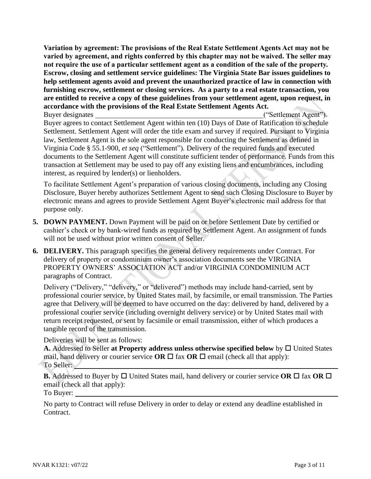**Variation by agreement: The provisions of the Real Estate Settlement Agents Act may not be varied by agreement, and rights conferred by this chapter may not be waived. The seller may not require the use of a particular settlement agent as a condition of the sale of the property. Escrow, closing and settlement service guidelines: The Virginia State Bar issues guidelines to help settlement agents avoid and prevent the unauthorized practice of law in connection with furnishing escrow, settlement or closing services. As a party to a real estate transaction, you are entitled to receive a copy of these guidelines from your settlement agent, upon request, in accordance with the provisions of the Real Estate Settlement Agents Act.**

Buyer designates ("Settlement Agent"). Buyer agrees to contact Settlement Agent within ten (10) Days of Date of Ratification to schedule Settlement. Settlement Agent will order the title exam and survey if required. Pursuant to Virginia law, Settlement Agent is the sole agent responsible for conducting the Settlement as defined in Virginia Code § 55.1-900, *et seq* ("Settlement")*.* Delivery of the required funds and executed documents to the Settlement Agent will constitute sufficient tender of performance. Funds from this transaction at Settlement may be used to pay off any existing liens and encumbrances, including interest, as required by lender(s) or lienholders.

To facilitate Settlement Agent's preparation of various closing documents, including any Closing Disclosure, Buyer hereby authorizes Settlement Agent to send such Closing Disclosure to Buyer by electronic means and agrees to provide Settlement Agent Buyer's electronic mail address for that purpose only.

- **5. DOWN PAYMENT.** Down Payment will be paid on or before Settlement Date by certified or cashier's check or by bank-wired funds as required by Settlement Agent. An assignment of funds will not be used without prior written consent of Seller.
- **6. DELIVERY.** This paragraph specifies the general delivery requirements under Contract. For delivery of property or condominium owner's association documents see the VIRGINIA PROPERTY OWNERS' ASSOCIATION ACT and/or VIRGINIA CONDOMINIUM ACT paragraphs of Contract.

Delivery ("Delivery," "delivery," or "delivered") methods may include hand-carried, sent by professional courier service, by United States mail, by facsimile, or email transmission. The Parties agree that Delivery will be deemed to have occurred on the day: delivered by hand, delivered by a professional courier service (including overnight delivery service) or by United States mail with return receipt requested, or sent by facsimile or email transmission, either of which produces a tangible record of the transmission.

Deliveries will be sent as follows:

A. Addressed to Seller at Property address unless otherwise specified below by  $\Box$  United States mail, hand delivery or courier service **OR**  $\Box$  fax **OR**  $\Box$  email (check all that apply): To Seller:

**B.** Addressed to Buyer by  $\Box$  United States mail, hand delivery or courier service OR  $\Box$  fax OR  $\Box$ email (check all that apply):

To Buyer:

No party to Contract will refuse Delivery in order to delay or extend any deadline established in Contract.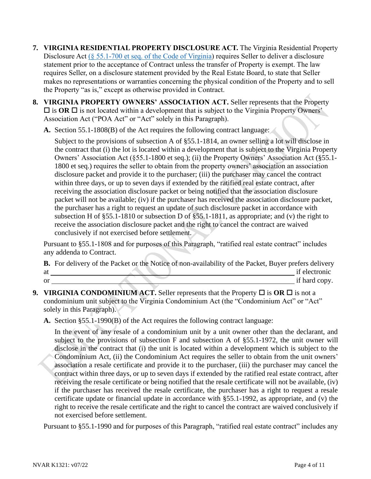- **7. VIRGINIA RESIDENTIAL PROPERTY DISCLOSURE ACT.** The Virginia Residential Property Disclosure Act [\(§ 55.1-700 et seq. of the Code of Virginia\)](https://law.lis.virginia.gov/vacode/title55.1/chapter7/) requires Seller to deliver a disclosure statement prior to the acceptance of Contract unless the transfer of Property is exempt. The law requires Seller, on a disclosure statement provided by the Real Estate Board, to state that Seller makes no representations or warranties concerning the physical condition of the Property and to sell the Property "as is," except as otherwise provided in Contract.
- **8. VIRGINIA PROPERTY OWNERS' ASSOCIATION ACT.** Seller represents that the Property  $\Box$  is **OR**  $\Box$  is not located within a development that is subject to the Virginia Property Owners' Association Act ("POA Act" or "Act" solely in this Paragraph).
	- **A.** Section 55.1-1808(B) of the Act requires the following contract language:

Subject to the provisions of subsection A of §55.1-1814, an owner selling a lot will disclose in the contract that (i) the lot is located within a development that is subject to the Virginia Property Owners' Association Act (§55.1-1800 et seq.); (ii) the Property Owners' Association Act (§55.1- 1800 et seq.) requires the seller to obtain from the property owners' association an association disclosure packet and provide it to the purchaser; (iii) the purchaser may cancel the contract within three days, or up to seven days if extended by the ratified real estate contract, after receiving the association disclosure packet or being notified that the association disclosure packet will not be available; (iv) if the purchaser has received the association disclosure packet, the purchaser has a right to request an update of such disclosure packet in accordance with subsection H of §55.1-1810 or subsection D of §55.1-1811, as appropriate; and (v) the right to receive the association disclosure packet and the right to cancel the contract are waived conclusively if not exercised before settlement.

Pursuant to §55.1-1808 and for purposes of this Paragraph, "ratified real estate contract" includes any addenda to Contract.

**B.** For delivery of the Packet or the Notice of non-availability of the Packet, Buyer prefers delivery at if electronic or if hard copy.

- **9. VIRGINIA CONDOMINIUM ACT.** Seller represents that the Property  $\Box$  is **OR**  $\Box$  is not a condominium unit subject to the Virginia Condominium Act (the "Condominium Act" or "Act" solely in this Paragraph).
	- **A.** Section §55.1-1990(B) of the Act requires the following contract language:

In the event of any resale of a condominium unit by a unit owner other than the declarant, and subject to the provisions of subsection F and subsection A of §55.1-1972, the unit owner will disclose in the contract that (i) the unit is located within a development which is subject to the Condominium Act, (ii) the Condominium Act requires the seller to obtain from the unit owners' association a resale certificate and provide it to the purchaser, (iii) the purchaser may cancel the contract within three days, or up to seven days if extended by the ratified real estate contract, after receiving the resale certificate or being notified that the resale certificate will not be available, (iv) if the purchaser has received the resale certificate, the purchaser has a right to request a resale certificate update or financial update in accordance with §55.1-1992, as appropriate, and (v) the right to receive the resale certificate and the right to cancel the contract are waived conclusively if not exercised before settlement.

Pursuant to §55.1-1990 and for purposes of this Paragraph, "ratified real estate contract" includes any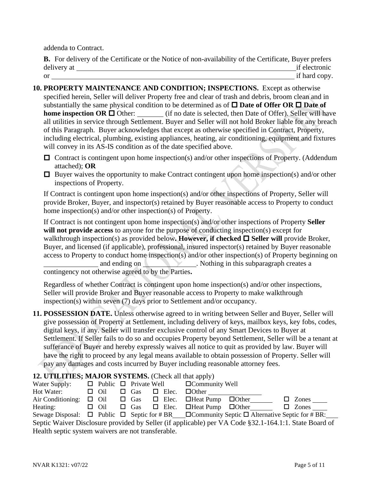addenda to Contract.

**B.** For delivery of the Certificate or the Notice of non-availability of the Certificate, Buyer prefers delivery at if electronic if electronic or if hard copy.

- **10. PROPERTY MAINTENANCE AND CONDITION; INSPECTIONS.** Except as otherwise specified herein, Seller will deliver Property free and clear of trash and debris, broom clean and in substantially the same physical condition to be determined as of  $\Box$  **Date of Offer OR**  $\Box$  **Date of home inspection OR**  $\Box$  Other: (if no date is selected, then Date of Offer). Seller will have all utilities in service through Settlement. Buyer and Seller will not hold Broker liable for any breach of this Paragraph. Buyer acknowledges that except as otherwise specified in Contract, Property, including electrical, plumbing, existing appliances, heating, air conditioning, equipment and fixtures will convey in its AS-IS condition as of the date specified above.
	- $\Box$  Contract is contingent upon home inspection(s) and/or other inspections of Property. (Addendum attached); **OR**
	- $\Box$  Buyer waives the opportunity to make Contract contingent upon home inspection(s) and/or other inspections of Property.

If Contract is contingent upon home inspection(s) and/or other inspections of Property, Seller will provide Broker, Buyer, and inspector(s) retained by Buyer reasonable access to Property to conduct home inspection(s) and/or other inspection(s) of Property.

If Contract is not contingent upon home inspection(s) and/or other inspections of Property **Seller**  will not provide access to anyone for the purpose of conducting inspection(s) except for walkthrough inspection(s) as provided below. However, if checked  $\Box$  Seller will provide Broker, Buyer, and licensed (if applicable), professional, insured inspector(s) retained by Buyer reasonable access to Property to conduct home inspection(s) and/or other inspection(s) of Property beginning on and ending on . Nothing in this subparagraph creates a contingency not otherwise agreed to by the Parties**.**

Regardless of whether Contract is contingent upon home inspection(s) and/or other inspections, Seller will provide Broker and Buyer reasonable access to Property to make walkthrough inspection(s) within seven (7) days prior to Settlement and/or occupancy.

**11. POSSESSION DATE.** Unless otherwise agreed to in writing between Seller and Buyer, Seller will give possession of Property at Settlement, including delivery of keys, mailbox keys, key fobs, codes, digital keys, if any. Seller will transfer exclusive control of any Smart Devices to Buyer at Settlement. If Seller fails to do so and occupies Property beyond Settlement, Seller will be a tenant at sufferance of Buyer and hereby expressly waives all notice to quit as provided by law. Buyer will have the right to proceed by any legal means available to obtain possession of Property. Seller will pay any damages and costs incurred by Buyer including reasonable attorney fees.

## **12. UTILITIES; MAJOR SYSTEMS.** (Check all that apply)

| Water Supply:                                                                                                   |            |            |              | $\Box$ Public $\Box$ Private Well $\Box$ Community Well          |  |                     |
|-----------------------------------------------------------------------------------------------------------------|------------|------------|--------------|------------------------------------------------------------------|--|---------------------|
| Hot Water:                                                                                                      | $\Box$ Oil | $\Box$ Gas | $\Box$ Elec. | $\Box$ Other                                                     |  |                     |
| Air Conditioning:                                                                                               |            |            |              | $\Box$ Oil $\Box$ Gas $\Box$ Elec. $\Box$ Heat Pump $\Box$ Other |  | $\Box$ Zones $\_\_$ |
| Heating:                                                                                                        | $\Box$ Oil |            |              | $\Box$ Gas $\Box$ Elec. $\Box$ Heat Pump $\Box$ Other            |  | $\Box$ Zones        |
| Sewage Disposal: $\Box$ Public $\Box$ Septic for #BR $\Box$ Community Septic $\Box$ Alternative Septic for #BR: |            |            |              |                                                                  |  |                     |
| Septic Waiver Disclosure provided by Seller (if applicable) per VA Code §32.1-164.1:1. State Board of           |            |            |              |                                                                  |  |                     |
| Health septic system waivers are not transferable.                                                              |            |            |              |                                                                  |  |                     |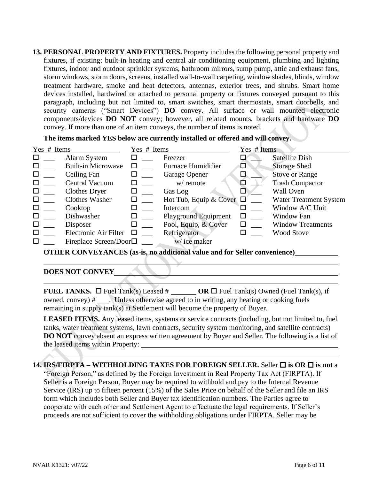**13. PERSONAL PROPERTY AND FIXTURES.** Property includes the following personal property and fixtures, if existing: built-in heating and central air conditioning equipment, plumbing and lighting fixtures, indoor and outdoor sprinkler systems, bathroom mirrors, sump pump, attic and exhaust fans, storm windows, storm doors, screens, installed wall-to-wall carpeting, window shades, blinds, window treatment hardware, smoke and heat detectors, antennas, exterior trees, and shrubs. Smart home devices installed, hardwired or attached to personal property or fixtures conveyed pursuant to this paragraph, including but not limited to, smart switches, smart thermostats, smart doorbells, and security cameras ("Smart Devices") **DO** convey. All surface or wall mounted electronic components/devices **DO NOT** convey; however, all related mounts, brackets and hardware **DO** convey. If more than one of an item conveys, the number of items is noted.

**The items marked YES below are currently installed or offered and will convey.** 

| Yes # Items |                              | Yes # Items |                               | Yes # Items |                               |
|-------------|------------------------------|-------------|-------------------------------|-------------|-------------------------------|
|             | Alarm System                 |             | Freezer                       |             | <b>Satellite Dish</b>         |
|             | <b>Built-in Microwave</b>    |             | <b>Furnace Humidifier</b>     | ⊔           | <b>Storage Shed</b>           |
|             | Ceiling Fan                  | □           | Garage Opener                 | $\Box$      | Stove or Range                |
|             | Central Vacuum               |             | w/ remote                     | K           | <b>Trash Compactor</b>        |
| □           | <b>Clothes Dryer</b>         | □           | Gas Log                       |             | <b>Wall Oven</b>              |
|             | <b>Clothes Washer</b>        | □           | Hot Tub, Equip & Cover $\Box$ |             | <b>Water Treatment System</b> |
|             | Cooktop                      |             | Intercom                      |             | Window A/C Unit               |
|             | Dishwasher                   | □           | <b>Playground Equipment</b>   | ⊔           | Window Fan                    |
|             | Disposer                     |             | Pool, Equip, & Cover          |             | <b>Window Treatments</b>      |
| □           | Electronic Air Filter        |             | Refrigerator                  |             | <b>Wood Stove</b>             |
| □           | Fireplace Screen/Door $\Box$ |             | w/ice maker                   |             |                               |

**OTHER CONVEYANCES (as-is, no additional value and for Seller convenience)**

#### **DOES NOT CONVEY**

**FUEL TANKS.**  $\Box$  Fuel Tank(s) Leased  $\#$  **OR**  $\Box$  Fuel Tank(s) Owned (Fuel Tank(s), if owned, convey) # . Unless otherwise agreed to in writing, any heating or cooking fuels remaining in supply tank(s) at Settlement will become the property of Buyer.

LEASED ITEMS. Any leased items, systems or service contracts (including, but not limited to, fuel tanks, water treatment systems, lawn contracts, security system monitoring, and satellite contracts) **DO NOT** convey absent an express written agreement by Buyer and Seller. The following is a list of the leased items within Property:

**14. IRS/FIRPTA – WITHHOLDING TAXES FOR FOREIGN SELLER.** Seller **is OR is not** a "Foreign Person," as defined by the Foreign Investment in Real Property Tax Act (FIRPTA). If

Seller is a Foreign Person, Buyer may be required to withhold and pay to the Internal Revenue Service (IRS) up to fifteen percent (15%) of the Sales Price on behalf of the Seller and file an IRS form which includes both Seller and Buyer tax identification numbers. The Parties agree to cooperate with each other and Settlement Agent to effectuate the legal requirements. If Seller's proceeds are not sufficient to cover the withholding obligations under FIRPTA, Seller may be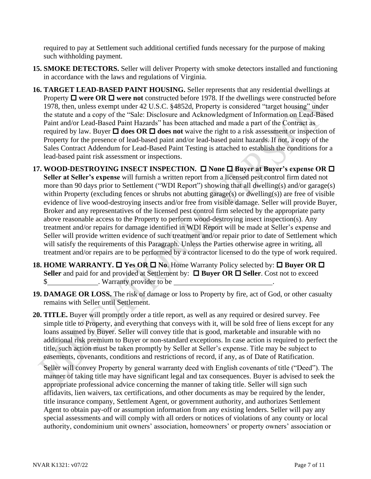required to pay at Settlement such additional certified funds necessary for the purpose of making such withholding payment.

- **15. SMOKE DETECTORS.** Seller will deliver Property with smoke detectors installed and functioning in accordance with the laws and regulations of Virginia.
- **16. TARGET LEAD-BASED PAINT HOUSING.** Seller represents that any residential dwellings at Property  $\Box$  were OR  $\Box$  were not constructed before 1978. If the dwellings were constructed before 1978, then, unless exempt under 42 U.S.C. §4852d, Property is considered "target housing" under the statute and a copy of the "Sale: Disclosure and Acknowledgment of Information on Lead-Based Paint and/or Lead-Based Paint Hazards" has been attached and made a part of the Contract as required by law. Buyer  $\Box$  does OR  $\Box$  does not waive the right to a risk assessment or inspection of Property for the presence of lead-based paint and/or lead-based paint hazards. If not, a copy of the Sales Contract Addendum for Lead-Based Paint Testing is attached to establish the conditions for a lead-based paint risk assessment or inspections.
- **17. WOOD-DESTROYING INSECT INSPECTION. □ None □ Buyer at Buyer's expense OR □ Seller at Seller's expense** will furnish a written report from a licensed pest control firm dated not more than 90 days prior to Settlement ("WDI Report") showing that all dwelling(s) and/or garage(s) within Property (excluding fences or shrubs not abutting garage(s) or dwelling(s)) are free of visible evidence of live wood-destroying insects and/or free from visible damage. Seller will provide Buyer, Broker and any representatives of the licensed pest control firm selected by the appropriate party above reasonable access to the Property to perform wood-destroying insect inspection(s). Any treatment and/or repairs for damage identified in WDI Report will be made at Seller's expense and Seller will provide written evidence of such treatment and/or repair prior to date of Settlement which will satisfy the requirements of this Paragraph. Unless the Parties otherwise agree in writing, all treatment and/or repairs are to be performed by a contractor licensed to do the type of work required.
- **18. HOME WARRANTY.**  $\Box$  **Yes OR**  $\Box$  **No. Home Warranty Policy selected by:**  $\Box$  **Buyer OR**  $\Box$ Seller and paid for and provided at Settlement by: **□ Buyer OR □ Seller**. Cost not to exceed \$ . Warranty provider to be
- **19. DAMAGE OR LOSS.** The risk of damage or loss to Property by fire, act of God, or other casualty remains with Seller until Settlement.
- **20. TITLE.** Buyer will promptly order a title report, as well as any required or desired survey. Fee simple title to Property, and everything that conveys with it, will be sold free of liens except for any loans assumed by Buyer. Seller will convey title that is good, marketable and insurable with no additional risk premium to Buyer or non-standard exceptions. In case action is required to perfect the title, such action must be taken promptly by Seller at Seller's expense. Title may be subject to easements, covenants, conditions and restrictions of record, if any, as of Date of Ratification.

Seller will convey Property by general warranty deed with English covenants of title ("Deed"). The manner of taking title may have significant legal and tax consequences. Buyer is advised to seek the appropriate professional advice concerning the manner of taking title. Seller will sign such affidavits, lien waivers, tax certifications, and other documents as may be required by the lender, title insurance company, Settlement Agent, or government authority, and authorizes Settlement Agent to obtain pay-off or assumption information from any existing lenders. Seller will pay any special assessments and will comply with all orders or notices of violations of any county or local authority, condominium unit owners' association, homeowners' or property owners' association or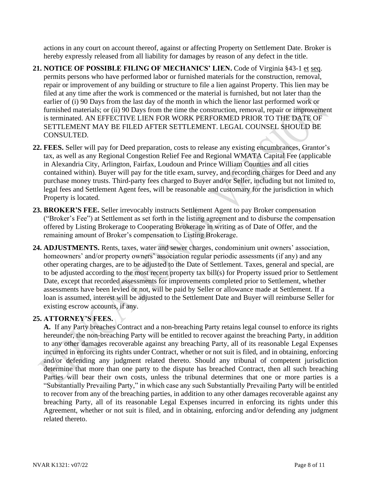actions in any court on account thereof, against or affecting Property on Settlement Date. Broker is hereby expressly released from all liability for damages by reason of any defect in the title.

- 21. **NOTICE OF POSSIBLE FILING OF MECHANICS' LIEN.** Code of Virginia §43-1 et seq. permits persons who have performed labor or furnished materials for the construction, removal, repair or improvement of any building or structure to file a lien against Property. This lien may be filed at any time after the work is commenced or the material is furnished, but not later than the earlier of (i) 90 Days from the last day of the month in which the lienor last performed work or furnished materials; or (ii) 90 Days from the time the construction, removal, repair or improvement is terminated. AN EFFECTIVE LIEN FOR WORK PERFORMED PRIOR TO THE DATE OF SETTLEMENT MAY BE FILED AFTER SETTLEMENT. LEGAL COUNSEL SHOULD BE CONSULTED.
- **22. FEES.** Seller will pay for Deed preparation, costs to release any existing encumbrances, Grantor's tax, as well as any Regional Congestion Relief Fee and Regional WMATA Capital Fee (applicable in Alexandria City, Arlington, Fairfax, Loudoun and Prince William Counties and all cities contained within). Buyer will pay for the title exam, survey, and recording charges for Deed and any purchase money trusts. Third-party fees charged to Buyer and/or Seller, including but not limited to, legal fees and Settlement Agent fees, will be reasonable and customary for the jurisdiction in which Property is located.
- **23. BROKER'S FEE.** Seller irrevocably instructs Settlement Agent to pay Broker compensation ("Broker's Fee") at Settlement as set forth in the listing agreement and to disburse the compensation offered by Listing Brokerage to Cooperating Brokerage in writing as of Date of Offer, and the remaining amount of Broker's compensation to Listing Brokerage.
- **24. ADJUSTMENTS.** Rents, taxes, water and sewer charges, condominium unit owners' association, homeowners' and/or property owners' association regular periodic assessments (if any) and any other operating charges, are to be adjusted to the Date of Settlement. Taxes, general and special, are to be adjusted according to the most recent property tax bill(s) for Property issued prior to Settlement Date, except that recorded assessments for improvements completed prior to Settlement, whether assessments have been levied or not, will be paid by Seller or allowance made at Settlement. If a loan is assumed, interest will be adjusted to the Settlement Date and Buyer will reimburse Seller for existing escrow accounts, if any.

## **25. ATTORNEY'S FEES.**

**A.** If any Party breaches Contract and a non-breaching Party retains legal counsel to enforce its rights hereunder, the non-breaching Party will be entitled to recover against the breaching Party, in addition to any other damages recoverable against any breaching Party, all of its reasonable Legal Expenses incurred in enforcing its rights under Contract, whether or not suit is filed, and in obtaining, enforcing and/or defending any judgment related thereto. Should any tribunal of competent jurisdiction determine that more than one party to the dispute has breached Contract, then all such breaching Parties will bear their own costs, unless the tribunal determines that one or more parties is a "Substantially Prevailing Party," in which case any such Substantially Prevailing Party will be entitled to recover from any of the breaching parties, in addition to any other damages recoverable against any breaching Party, all of its reasonable Legal Expenses incurred in enforcing its rights under this Agreement, whether or not suit is filed, and in obtaining, enforcing and/or defending any judgment related thereto.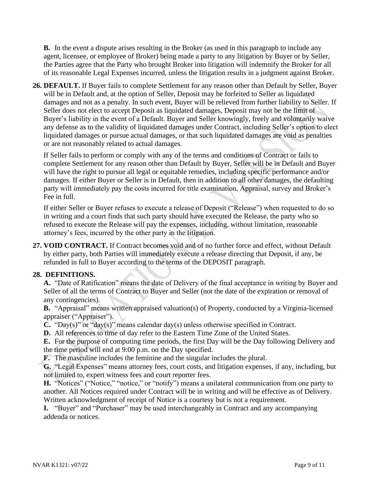**B.** In the event a dispute arises resulting in the Broker (as used in this paragraph to include any agent, licensee, or employee of Broker) being made a party to any litigation by Buyer or by Seller, the Parties agree that the Party who brought Broker into litigation will indemnify the Broker for all of its reasonable Legal Expenses incurred, unless the litigation results in a judgment against Broker.

**26. DEFAULT.** If Buyer fails to complete Settlement for any reason other than Default by Seller, Buyer will be in Default and, at the option of Seller, Deposit may be forfeited to Seller as liquidated damages and not as a penalty. In such event, Buyer will be relieved from further liability to Seller. If Seller does not elect to accept Deposit as liquidated damages, Deposit may not be the limit of Buyer's liability in the event of a Default. Buyer and Seller knowingly, freely and voluntarily waive any defense as to the validity of liquidated damages under Contract, including Seller's option to elect liquidated damages or pursue actual damages, or that such liquidated damages are void as penalties or are not reasonably related to actual damages.

If Seller fails to perform or comply with any of the terms and conditions of Contract or fails to complete Settlement for any reason other than Default by Buyer, Seller will be in Default and Buyer will have the right to pursue all legal or equitable remedies, including specific performance and/or damages. If either Buyer or Seller is in Default, then in addition to all other damages, the defaulting party will immediately pay the costs incurred for title examination, Appraisal, survey and Broker's Fee in full.

If either Seller or Buyer refuses to execute a release of Deposit ("Release") when requested to do so in writing and a court finds that such party should have executed the Release, the party who so refused to execute the Release will pay the expenses, including, without limitation, reasonable attorney's fees, incurred by the other party in the litigation.

**27. VOID CONTRACT.** If Contract becomes void and of no further force and effect, without Default by either party, both Parties will immediately execute a release directing that Deposit, if any, be refunded in full to Buyer according to the terms of the DEPOSIT paragraph.

## **28. DEFINITIONS.**

**A.** "Date of Ratification" means the date of Delivery of the final acceptance in writing by Buyer and Seller of all the terms of Contract to Buyer and Seller (not the date of the expiration or removal of any contingencies).

**B.** "Appraisal" means written appraised valuation(s) of Property, conducted by a Virginia-licensed appraiser ("Appraiser").

- **C.** "Day(s)" or "day(s)" means calendar day(s) unless otherwise specified in Contract.
- **D.** All references to time of day refer to the Eastern Time Zone of the United States.

**E.** For the purpose of computing time periods, the first Day will be the Day following Delivery and the time period will end at 9:00 p.m. on the Day specified.

**F.** The masculine includes the feminine and the singular includes the plural.

**G.** "Legal Expenses" means attorney fees, court costs, and litigation expenses, if any, including, but not limited to, expert witness fees and court reporter fees.

**H.** "Notices" ("Notice," "notice," or "notify") means a unilateral communication from one party to another. All Notices required under Contract will be in writing and will be effective as of Delivery. Written acknowledgment of receipt of Notice is a courtesy but is not a requirement.

**I.** "Buyer" and "Purchaser" may be used interchangeably in Contract and any accompanying addenda or notices.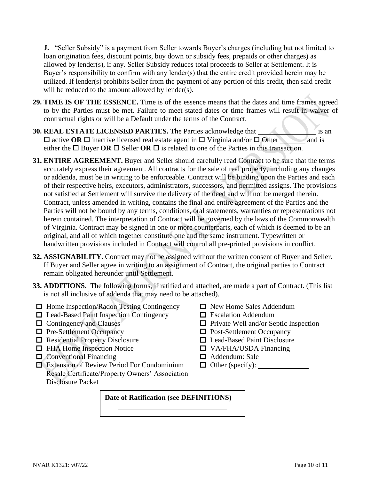**J.** "Seller Subsidy" is a payment from Seller towards Buyer's charges (including but not limited to loan origination fees, discount points, buy down or subsidy fees, prepaids or other charges) as allowed by lender(s), if any. Seller Subsidy reduces total proceeds to Seller at Settlement. It is Buyer's responsibility to confirm with any lender(s) that the entire credit provided herein may be utilized. If lender(s) prohibits Seller from the payment of any portion of this credit, then said credit will be reduced to the amount allowed by lender(s).

- **29. TIME IS OF THE ESSENCE.** Time is of the essence means that the dates and time frames agreed to by the Parties must be met. Failure to meet stated dates or time frames will result in waiver of contractual rights or will be a Default under the terms of the Contract.
- **30. REAL ESTATE LICENSED PARTIES.** The Parties acknowledge that is an is an  $\Box$  active **OR**  $\Box$  inactive licensed real estate agent in  $\Box$  Virginia and/or  $\Box$  Other and is either the  $\Box$  Buyer **OR**  $\Box$  Seller **OR**  $\Box$  is related to one of the Parties in this transaction.
- **31. ENTIRE AGREEMENT.** Buyer and Seller should carefully read Contract to be sure that the terms accurately express their agreement. All contracts for the sale of real property, including any changes or addenda, must be in writing to be enforceable. Contract will be binding upon the Parties and each of their respective heirs, executors, administrators, successors, and permitted assigns. The provisions not satisfied at Settlement will survive the delivery of the deed and will not be merged therein. Contract, unless amended in writing, contains the final and entire agreement of the Parties and the Parties will not be bound by any terms, conditions, oral statements, warranties or representations not herein contained. The interpretation of Contract will be governed by the laws of the Commonwealth of Virginia. Contract may be signed in one or more counterparts, each of which is deemed to be an original, and all of which together constitute one and the same instrument. Typewritten or handwritten provisions included in Contract will control all pre-printed provisions in conflict.
- **32. ASSIGNABILITY.** Contract may not be assigned without the written consent of Buyer and Seller. If Buyer and Seller agree in writing to an assignment of Contract, the original parties to Contract remain obligated hereunder until Settlement.
- **33. ADDITIONS.** The following forms, if ratified and attached, are made a part of Contract. (This list is not all inclusive of addenda that may need to be attached).
- $\Box$  Home Inspection/Radon Testing Contingency  $\Box$  New Home Sales Addendum
- $\Box$  Lead-Based Paint Inspection Contingency  $\Box$  Escalation Addendum
- 
- $\Box$  Pre-Settlement Occupancy  $\Box$  Post-Settlement Occupancy
- □ Residential Property Disclosure □ Lead-Based Paint Disclosure
- FHA Home Inspection Notice VA/FHA/USDA Financing
- $\Box$  Conventional Financing  $\Box$  Addendum: Sale
- Extension of Review Period For Condominium Resale Certificate/Property Owners' Association Disclosure Packet
- 
- 
- $\Box$  Contingency and Clauses  $\Box$  Private Well and/or Septic Inspection
	-
	-
	-
	-
	- $\Box$  Other (specify):  $\Box$

## **Date of Ratification (see DEFINITIONS)**